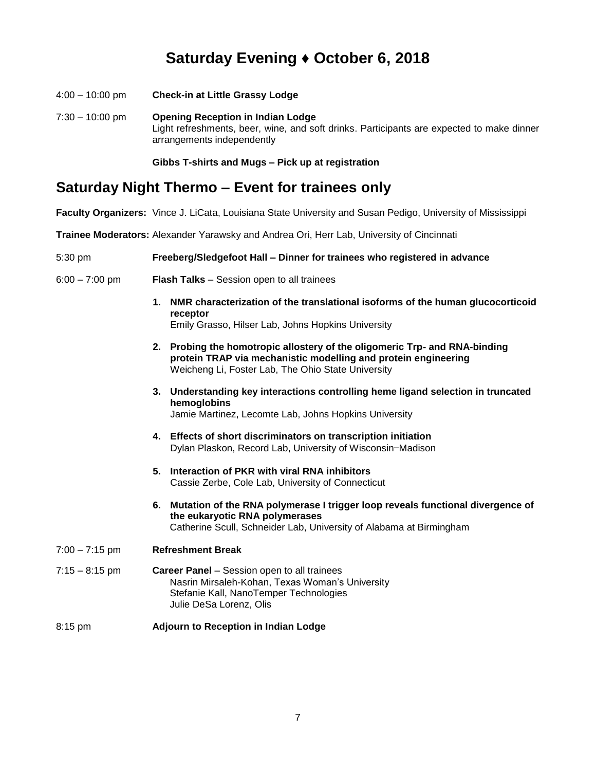## **Saturday Evening ♦ October 6, 2018**

4:00 – 10:00 pm **Check-in at Little Grassy Lodge** 7:30 – 10:00 pm **Opening Reception in Indian Lodge** Light refreshments, beer, wine, and soft drinks. Participants are expected to make dinner arrangements independently

**Gibbs T-shirts and Mugs – Pick up at registration**

### **Saturday Night Thermo – Event for trainees only**

**Faculty Organizers:** Vince J. LiCata, Louisiana State University and Susan Pedigo, University of Mississippi

**Trainee Moderators:** Alexander Yarawsky and Andrea Ori, Herr Lab, University of Cincinnati

#### 5:30 pm **Freeberg/Sledgefoot Hall – Dinner for trainees who registered in advance**

- 6:00 7:00 pm **Flash Talks**  Session open to all trainees
	- **1. NMR characterization of the translational isoforms of the human glucocorticoid receptor**

Emily Grasso, Hilser Lab, Johns Hopkins University

- **2. Probing the homotropic allostery of the oligomeric Trp- and RNA-binding protein TRAP via mechanistic modelling and protein engineering** Weicheng Li, Foster Lab, The Ohio State University
- **3. Understanding key interactions controlling heme ligand selection in truncated hemoglobins** Jamie Martinez, Lecomte Lab, Johns Hopkins University
- **4. Effects of short discriminators on transcription initiation** Dylan Plaskon, Record Lab, University of Wisconsin−Madison
- **5. Interaction of PKR with viral RNA inhibitors** Cassie Zerbe, Cole Lab, University of Connecticut
- **6. Mutation of the RNA polymerase I trigger loop reveals functional divergence of the eukaryotic RNA polymerases** Catherine Scull, Schneider Lab, University of Alabama at Birmingham
- 7:00 7:15 pm **Refreshment Break**
- 7:15 8:15 pm **Career Panel**  Session open to all trainees Nasrin Mirsaleh-Kohan, Texas Woman's University Stefanie Kall, NanoTemper Technologies Julie DeSa Lorenz, Olis
- 8:15 pm **Adjourn to Reception in Indian Lodge**  $\overline{a}$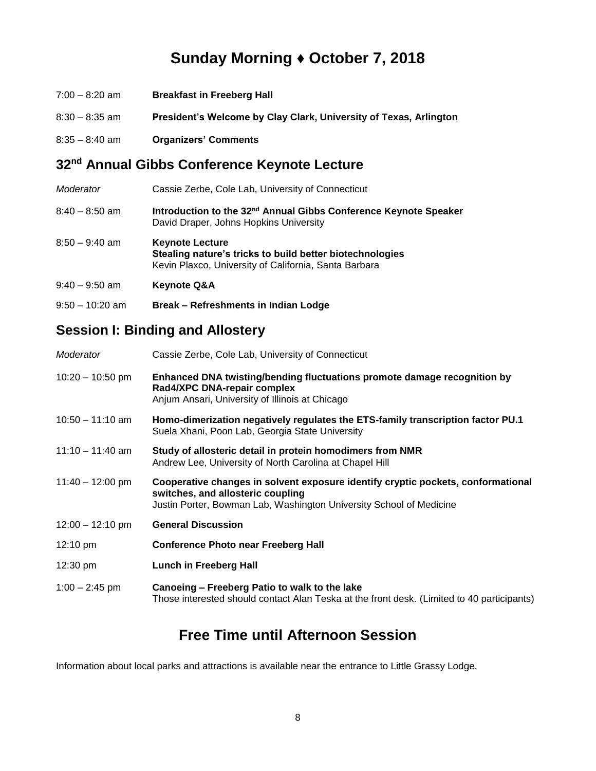## **Sunday Morning ♦ October 7, 2018**

| $7:00 - 8:20$ am | <b>Breakfast in Freeberg Hall</b>                                 |
|------------------|-------------------------------------------------------------------|
| $8:30 - 8:35$ am | President's Welcome by Clay Clark, University of Texas, Arlington |
| $8:35 - 8:40$ am | <b>Organizers' Comments</b>                                       |

## **32nd Annual Gibbs Conference Keynote Lecture**

| Moderator         | Cassie Zerbe, Cole Lab, University of Connecticut                                                                                           |
|-------------------|---------------------------------------------------------------------------------------------------------------------------------------------|
| $8:40 - 8:50$ am  | Introduction to the 32 <sup>nd</sup> Annual Gibbs Conference Keynote Speaker<br>David Draper, Johns Hopkins University                      |
| $8:50 - 9:40$ am  | <b>Keynote Lecture</b><br>Stealing nature's tricks to build better biotechnologies<br>Kevin Plaxco, University of California, Santa Barbara |
| $9:40 - 9:50$ am  | <b>Keynote Q&amp;A</b>                                                                                                                      |
| $9:50 - 10:20$ am | Break – Refreshments in Indian Lodge                                                                                                        |

#### **Session I: Binding and Allostery**

| Moderator          | Cassie Zerbe, Cole Lab, University of Connecticut                                                                                                                                            |
|--------------------|----------------------------------------------------------------------------------------------------------------------------------------------------------------------------------------------|
| $10:20 - 10:50$ pm | Enhanced DNA twisting/bending fluctuations promote damage recognition by<br>Rad4/XPC DNA-repair complex<br>Anjum Ansari, University of Illinois at Chicago                                   |
| $10:50 - 11:10$ am | Homo-dimerization negatively regulates the ETS-family transcription factor PU.1<br>Suela Xhani, Poon Lab, Georgia State University                                                           |
| $11:10 - 11:40$ am | Study of allosteric detail in protein homodimers from NMR<br>Andrew Lee, University of North Carolina at Chapel Hill                                                                         |
| $11:40 - 12:00$ pm | Cooperative changes in solvent exposure identify cryptic pockets, conformational<br>switches, and allosteric coupling<br>Justin Porter, Bowman Lab, Washington University School of Medicine |
| $12:00 - 12:10$ pm | <b>General Discussion</b>                                                                                                                                                                    |
| $12:10 \text{ pm}$ | <b>Conference Photo near Freeberg Hall</b>                                                                                                                                                   |
| 12:30 pm           | <b>Lunch in Freeberg Hall</b>                                                                                                                                                                |
| $1:00 - 2:45$ pm   | Canoeing - Freeberg Patio to walk to the lake<br>Those interested should contact Alan Teska at the front desk. (Limited to 40 participants)                                                  |

## **Free Time until Afternoon Session**

Information about local parks and attractions is available near the entrance to Little Grassy Lodge.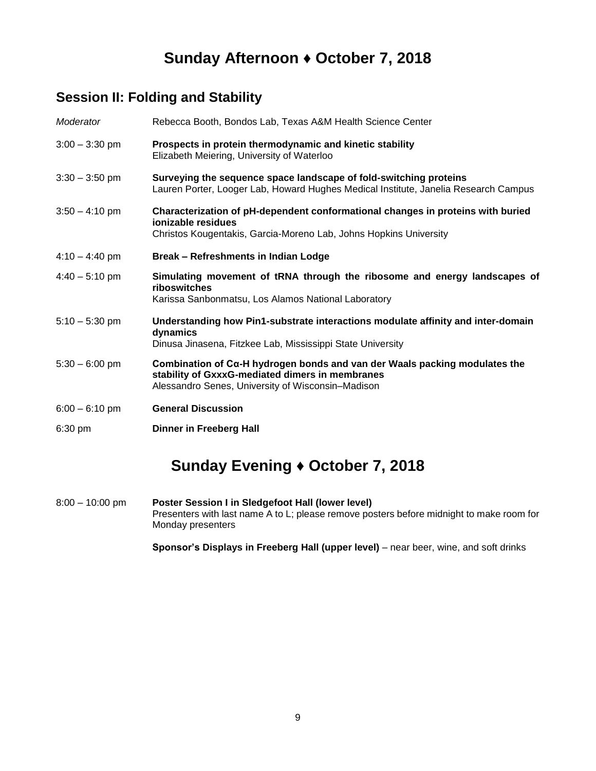## **Sunday Afternoon ♦ October 7, 2018**

### **Session II: Folding and Stability**

| Moderator        | Rebecca Booth, Bondos Lab, Texas A&M Health Science Center                                                                                                                            |
|------------------|---------------------------------------------------------------------------------------------------------------------------------------------------------------------------------------|
| $3:00 - 3:30$ pm | Prospects in protein thermodynamic and kinetic stability<br>Elizabeth Meiering, University of Waterloo                                                                                |
| $3:30 - 3:50$ pm | Surveying the sequence space landscape of fold-switching proteins<br>Lauren Porter, Looger Lab, Howard Hughes Medical Institute, Janelia Research Campus                              |
| $3:50 - 4:10$ pm | Characterization of pH-dependent conformational changes in proteins with buried<br>ionizable residues<br>Christos Kougentakis, Garcia-Moreno Lab, Johns Hopkins University            |
| $4:10 - 4:40$ pm | Break - Refreshments in Indian Lodge                                                                                                                                                  |
| $4:40 - 5:10$ pm | Simulating movement of tRNA through the ribosome and energy landscapes of<br>riboswitches<br>Karissa Sanbonmatsu, Los Alamos National Laboratory                                      |
| $5:10 - 5:30$ pm | Understanding how Pin1-substrate interactions modulate affinity and inter-domain<br>dynamics<br>Dinusa Jinasena, Fitzkee Lab, Mississippi State University                            |
| $5:30 - 6:00$ pm | Combination of $Ca$ -H hydrogen bonds and van der Waals packing modulates the<br>stability of GxxxG-mediated dimers in membranes<br>Alessandro Senes, University of Wisconsin-Madison |
| $6:00 - 6:10$ pm | <b>General Discussion</b>                                                                                                                                                             |
| $6:30$ pm        | <b>Dinner in Freeberg Hall</b>                                                                                                                                                        |

## **Sunday Evening ♦ October 7, 2018**

8:00 – 10:00 pm **Poster Session I in Sledgefoot Hall (lower level)** Presenters with last name A to L; please remove posters before midnight to make room for Monday presenters

**Sponsor's Displays in Freeberg Hall (upper level)** – near beer, wine, and soft drinks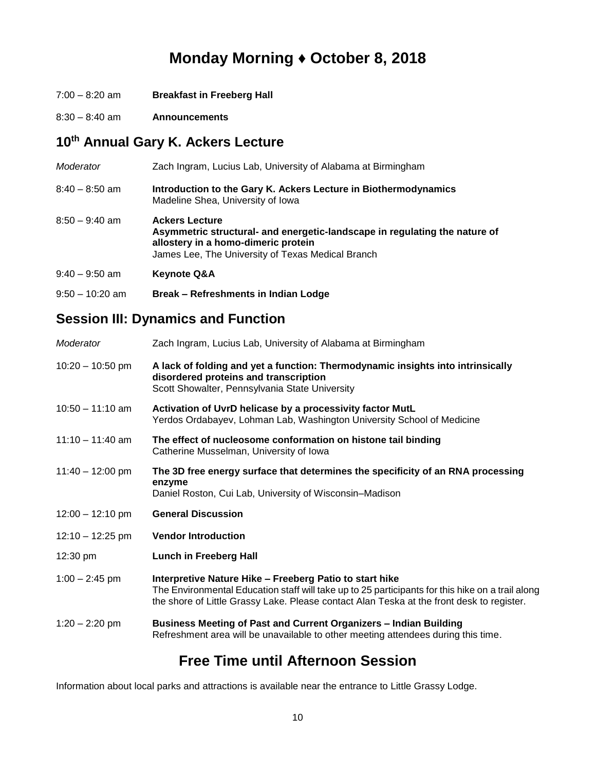## **Monday Morning ♦ October 8, 2018**

- 7:00 8:20 am **Breakfast in Freeberg Hall**
- 8:30 8:40 am **Announcements**

## **10th Annual Gary K. Ackers Lecture**

| Moderator       | Zach Ingram, Lucius Lab, University of Alabama at Birmingham                                                                                                                                    |
|-----------------|-------------------------------------------------------------------------------------------------------------------------------------------------------------------------------------------------|
| 8:40 – 8:50 am  | Introduction to the Gary K. Ackers Lecture in Biothermodynamics<br>Madeline Shea, University of Iowa                                                                                            |
| 8:50 – 9:40 am  | <b>Ackers Lecture</b><br>Asymmetric structural- and energetic-landscape in regulating the nature of<br>allostery in a homo-dimeric protein<br>James Lee, The University of Texas Medical Branch |
| 9:40 – 9:50 am  | <b>Keynote Q&amp;A</b>                                                                                                                                                                          |
| 9:50 – 10:20 am | Break – Refreshments in Indian Lodge                                                                                                                                                            |

## **Session III: Dynamics and Function**

| Moderator          | Zach Ingram, Lucius Lab, University of Alabama at Birmingham                                                                                                                                                                                             |
|--------------------|----------------------------------------------------------------------------------------------------------------------------------------------------------------------------------------------------------------------------------------------------------|
| $10:20 - 10:50$ pm | A lack of folding and yet a function: Thermodynamic insights into intrinsically<br>disordered proteins and transcription<br>Scott Showalter, Pennsylvania State University                                                                               |
| $10:50 - 11:10$ am | Activation of UvrD helicase by a processivity factor MutL<br>Yerdos Ordabayev, Lohman Lab, Washington University School of Medicine                                                                                                                      |
| $11:10 - 11:40$ am | The effect of nucleosome conformation on histone tail binding<br>Catherine Musselman, University of Iowa                                                                                                                                                 |
| $11:40 - 12:00$ pm | The 3D free energy surface that determines the specificity of an RNA processing<br>enzyme<br>Daniel Roston, Cui Lab, University of Wisconsin-Madison                                                                                                     |
| $12:00 - 12:10$ pm | <b>General Discussion</b>                                                                                                                                                                                                                                |
| $12:10 - 12:25$ pm | <b>Vendor Introduction</b>                                                                                                                                                                                                                               |
| $12:30 \text{ pm}$ | <b>Lunch in Freeberg Hall</b>                                                                                                                                                                                                                            |
| $1:00 - 2:45$ pm   | Interpretive Nature Hike - Freeberg Patio to start hike<br>The Environmental Education staff will take up to 25 participants for this hike on a trail along<br>the shore of Little Grassy Lake. Please contact Alan Teska at the front desk to register. |
| $1:20 - 2:20$ pm   | Business Meeting of Past and Current Organizers - Indian Building<br>Refreshment area will be unavailable to other meeting attendees during this time.                                                                                                   |

## **Free Time until Afternoon Session**

Information about local parks and attractions is available near the entrance to Little Grassy Lodge.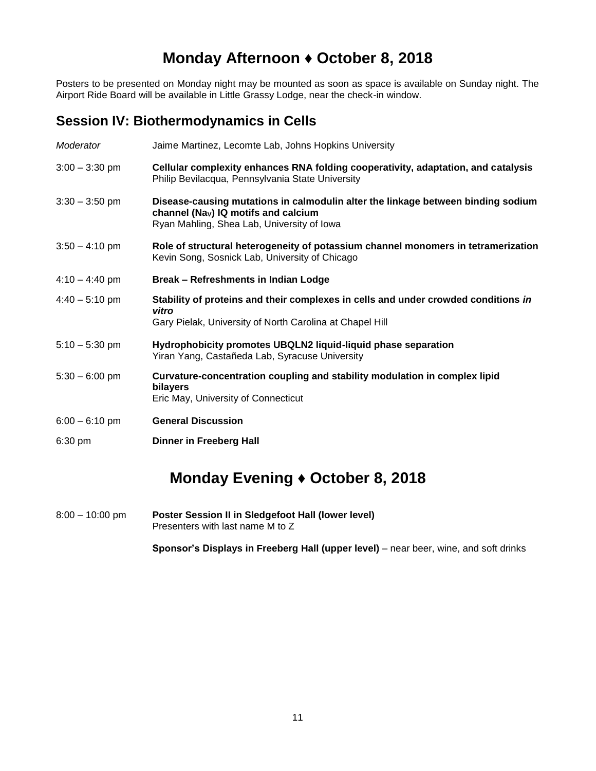## **Monday Afternoon ♦ October 8, 2018**

Posters to be presented on Monday night may be mounted as soon as space is available on Sunday night. The Airport Ride Board will be available in Little Grassy Lodge, near the check-in window.

#### **Session IV: Biothermodynamics in Cells**

| Moderator                | Jaime Martinez, Lecomte Lab, Johns Hopkins University                                                                                                                                      |
|--------------------------|--------------------------------------------------------------------------------------------------------------------------------------------------------------------------------------------|
| $3:00 - 3:30$ pm         | Cellular complexity enhances RNA folding cooperativity, adaptation, and catalysis<br>Philip Bevilacqua, Pennsylvania State University                                                      |
| $3:30 - 3:50$ pm         | Disease-causing mutations in calmodulin alter the linkage between binding sodium<br>channel ( $\text{Na}_{\text{V}}$ ) IQ motifs and calcium<br>Ryan Mahling, Shea Lab, University of Iowa |
| $3:50 - 4:10$ pm         | Role of structural heterogeneity of potassium channel monomers in tetramerization<br>Kevin Song, Sosnick Lab, University of Chicago                                                        |
| $4:10 - 4:40$ pm         | Break - Refreshments in Indian Lodge                                                                                                                                                       |
| $4:40 - 5:10 \text{ pm}$ | Stability of proteins and their complexes in cells and under crowded conditions in<br>vitro<br>Gary Pielak, University of North Carolina at Chapel Hill                                    |
| $5:10 - 5:30$ pm         | Hydrophobicity promotes UBQLN2 liquid-liquid phase separation<br>Yiran Yang, Castañeda Lab, Syracuse University                                                                            |
| $5:30 - 6:00$ pm         | Curvature-concentration coupling and stability modulation in complex lipid<br>bilayers<br>Eric May, University of Connecticut                                                              |
| $6:00 - 6:10$ pm         | <b>General Discussion</b>                                                                                                                                                                  |
| 6:30 pm                  | <b>Dinner in Freeberg Hall</b>                                                                                                                                                             |

## **Monday Evening ♦ October 8, 2018**

8:00 – 10:00 pm **Poster Session II in Sledgefoot Hall (lower level)**  Presenters with last name M to Z

**Sponsor's Displays in Freeberg Hall (upper level)** – near beer, wine, and soft drinks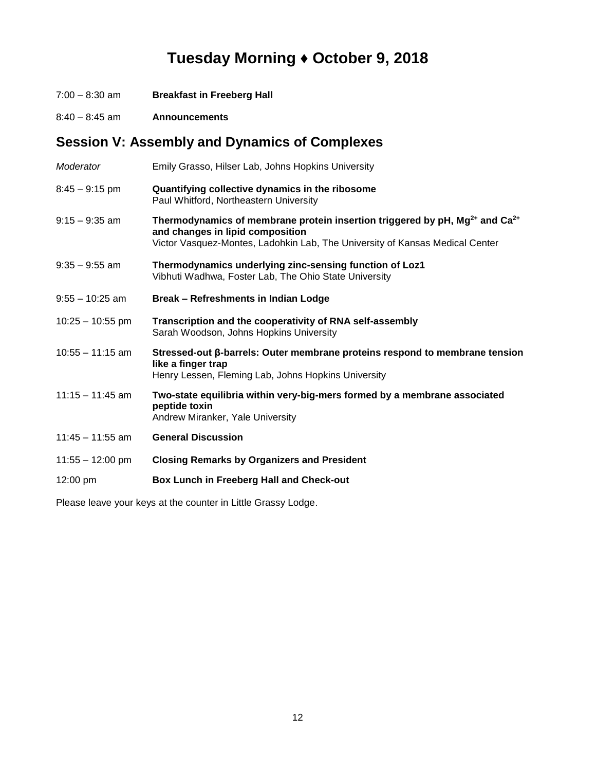# **Tuesday Morning ♦ October 9, 2018**

- 7:00 8:30 am **Breakfast in Freeberg Hall**
- 8:40 8:45 am **Announcements**

## **Session V: Assembly and Dynamics of Complexes**

| Moderator          | Emily Grasso, Hilser Lab, Johns Hopkins University                                                                                                                                                                         |
|--------------------|----------------------------------------------------------------------------------------------------------------------------------------------------------------------------------------------------------------------------|
| $8:45 - 9:15$ pm   | Quantifying collective dynamics in the ribosome<br>Paul Whitford, Northeastern University                                                                                                                                  |
| 9:15 – 9:35 am     | Thermodynamics of membrane protein insertion triggered by $pH$ , Mg <sup>2+</sup> and Ca <sup>2+</sup><br>and changes in lipid composition<br>Victor Vasquez-Montes, Ladohkin Lab, The University of Kansas Medical Center |
| $9:35 - 9:55$ am   | Thermodynamics underlying zinc-sensing function of Loz1<br>Vibhuti Wadhwa, Foster Lab, The Ohio State University                                                                                                           |
| $9:55 - 10:25$ am  | Break - Refreshments in Indian Lodge                                                                                                                                                                                       |
| $10:25 - 10:55$ pm | Transcription and the cooperativity of RNA self-assembly<br>Sarah Woodson, Johns Hopkins University                                                                                                                        |
| $10:55 - 11:15$ am | Stressed-out β-barrels: Outer membrane proteins respond to membrane tension<br>like a finger trap<br>Henry Lessen, Fleming Lab, Johns Hopkins University                                                                   |
| $11:15 - 11:45$ am | Two-state equilibria within very-big-mers formed by a membrane associated<br>peptide toxin<br>Andrew Miranker, Yale University                                                                                             |
| $11:45 - 11:55$ am | <b>General Discussion</b>                                                                                                                                                                                                  |
| $11:55 - 12:00$ pm | <b>Closing Remarks by Organizers and President</b>                                                                                                                                                                         |
| 12:00 pm           | Box Lunch in Freeberg Hall and Check-out                                                                                                                                                                                   |

Please leave your keys at the counter in Little Grassy Lodge.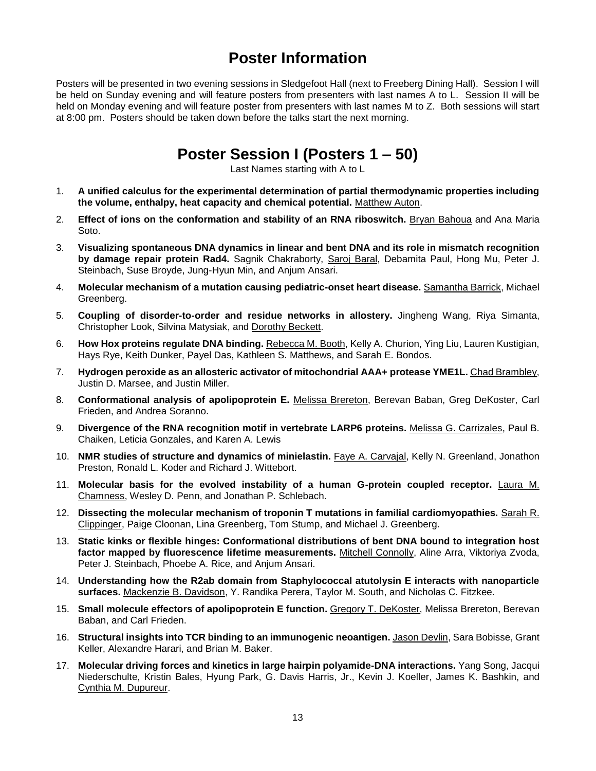## **Poster Information**

Posters will be presented in two evening sessions in Sledgefoot Hall (next to Freeberg Dining Hall). Session I will be held on Sunday evening and will feature posters from presenters with last names A to L. Session II will be held on Monday evening and will feature poster from presenters with last names M to Z. Both sessions will start at 8:00 pm. Posters should be taken down before the talks start the next morning.

## **Poster Session I (Posters 1 – 50)**

Last Names starting with A to L

- 1. **A unified calculus for the experimental determination of partial thermodynamic properties including the volume, enthalpy, heat capacity and chemical potential.** Matthew Auton.
- 2. **Effect of ions on the conformation and stability of an RNA riboswitch.** Bryan Bahoua and Ana Maria Soto.
- 3. **Visualizing spontaneous DNA dynamics in linear and bent DNA and its role in mismatch recognition by damage repair protein Rad4.** Sagnik Chakraborty, Saroj Baral, Debamita Paul, Hong Mu, Peter J. Steinbach, Suse Broyde, Jung-Hyun Min, and Anjum Ansari.
- 4. **Molecular mechanism of a mutation causing pediatric-onset heart disease.** Samantha Barrick, Michael Greenberg.
- 5. **Coupling of disorder-to-order and residue networks in allostery.** Jingheng Wang, Riya Simanta, Christopher Look, Silvina Matysiak, and Dorothy Beckett.
- 6. **How Hox proteins regulate DNA binding.** Rebecca M. Booth, Kelly A. Churion, Ying Liu, Lauren Kustigian, Hays Rye, Keith Dunker, Payel Das, Kathleen S. Matthews, and Sarah E. Bondos.
- 7. **Hydrogen peroxide as an allosteric activator of mitochondrial AAA+ protease YME1L.** Chad Brambley, Justin D. Marsee, and Justin Miller.
- 8. **Conformational analysis of apolipoprotein E.** Melissa Brereton, Berevan Baban, Greg DeKoster, Carl Frieden, and Andrea Soranno.
- 9. **Divergence of the RNA recognition motif in vertebrate LARP6 proteins.** Melissa G. Carrizales, Paul B. Chaiken, Leticia Gonzales, and Karen A. Lewis
- 10. **NMR studies of structure and dynamics of minielastin.** Faye A. Carvajal, Kelly N. Greenland, Jonathon Preston, Ronald L. Koder and Richard J. Wittebort.
- 11. **Molecular basis for the evolved instability of a human G-protein coupled receptor.** Laura M. Chamness, Wesley D. Penn, and Jonathan P. Schlebach.
- 12. **Dissecting the molecular mechanism of troponin T mutations in familial cardiomyopathies.** Sarah R. Clippinger, Paige Cloonan, Lina Greenberg, Tom Stump, and Michael J. Greenberg.
- 13. **Static kinks or flexible hinges: Conformational distributions of bent DNA bound to integration host factor mapped by fluorescence lifetime measurements.** Mitchell Connolly, Aline Arra, Viktoriya Zvoda, Peter J. Steinbach, Phoebe A. Rice, and Anjum Ansari.
- 14. **Understanding how the R2ab domain from Staphylococcal atutolysin E interacts with nanoparticle surfaces.** Mackenzie B. Davidson, Y. Randika Perera, Taylor M. South, and Nicholas C. Fitzkee.
- 15. **Small molecule effectors of apolipoprotein E function.** Gregory T. DeKoster, Melissa Brereton, Berevan Baban, and Carl Frieden.
- 16. **Structural insights into TCR binding to an immunogenic neoantigen.** Jason Devlin, Sara Bobisse, Grant Keller, Alexandre Harari, and Brian M. Baker.
- 17. **Molecular driving forces and kinetics in large hairpin polyamide-DNA interactions.** Yang Song, Jacqui Niederschulte, Kristin Bales, Hyung Park, G. Davis Harris, Jr., Kevin J. Koeller, James K. Bashkin, and Cynthia M. Dupureur.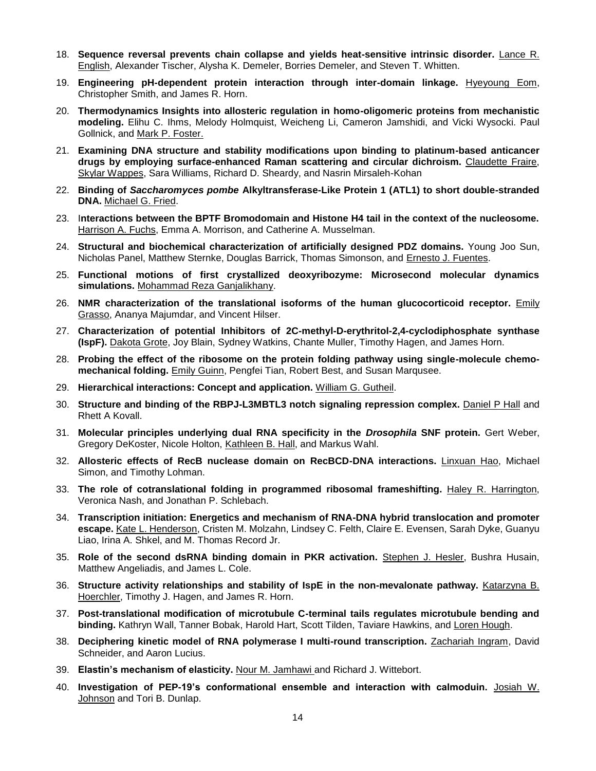- 18. **Sequence reversal prevents chain collapse and yields heat-sensitive intrinsic disorder.** Lance R. English, Alexander Tischer, Alysha K. Demeler, Borries Demeler, and Steven T. Whitten.
- 19. **Engineering pH-dependent protein interaction through inter-domain linkage.** Hyeyoung Eom, Christopher Smith, and James R. Horn.
- 20. **Thermodynamics Insights into allosteric regulation in homo-oligomeric proteins from mechanistic modeling.** Elihu C. Ihms, Melody Holmquist, Weicheng Li, Cameron Jamshidi, and Vicki Wysocki. Paul Gollnick, and Mark P. Foster.
- 21. **Examining DNA structure and stability modifications upon binding to platinum-based anticancer drugs by employing surface-enhanced Raman scattering and circular dichroism.** Claudette Fraire, Skylar Wappes, Sara Williams, Richard D. Sheardy, and Nasrin Mirsaleh-Kohan
- 22. **Binding of** *Saccharomyces pombe* **Alkyltransferase-Like Protein 1 (ATL1) to short double-stranded DNA.** Michael G. Fried.
- 23. I**nteractions between the BPTF Bromodomain and Histone H4 tail in the context of the nucleosome.** Harrison A. Fuchs, Emma A. Morrison, and Catherine A. Musselman.
- 24. **Structural and biochemical characterization of artificially designed PDZ domains.** Young Joo Sun, Nicholas Panel, Matthew Sternke, Douglas Barrick, Thomas Simonson, and Ernesto J. Fuentes.
- 25. **Functional motions of first crystallized deoxyribozyme: Microsecond molecular dynamics simulations.** Mohammad Reza Ganjalikhany.
- 26. **NMR characterization of the translational isoforms of the human glucocorticoid receptor.** Emily Grasso, Ananya Majumdar, and Vincent Hilser.
- 27. **Characterization of potential Inhibitors of 2C-methyl-D-erythritol-2,4-cyclodiphosphate synthase (IspF).** Dakota Grote, Joy Blain, Sydney Watkins, Chante Muller, Timothy Hagen, and James Horn.
- 28. **Probing the effect of the ribosome on the protein folding pathway using single-molecule chemomechanical folding.** Emily Guinn, Pengfei Tian, Robert Best, and Susan Marqusee.
- 29. **Hierarchical interactions: Concept and application.** William G. Gutheil.
- 30. **Structure and binding of the RBPJ-L3MBTL3 notch signaling repression complex.** Daniel P Hall and Rhett A Kovall.
- 31. **Molecular principles underlying dual RNA specificity in the** *Drosophila* **SNF protein.** Gert Weber, Gregory DeKoster, Nicole Holton, Kathleen B. Hall, and Markus Wahl.
- 32. **Allosteric effects of RecB nuclease domain on RecBCD-DNA interactions.** Linxuan Hao, Michael Simon, and Timothy Lohman.
- 33. **The role of cotranslational folding in programmed ribosomal frameshifting.** Haley R. Harrington, Veronica Nash, and Jonathan P. Schlebach.
- 34. **Transcription initiation: Energetics and mechanism of RNA-DNA hybrid translocation and promoter escape.** Kate L. Henderson, Cristen M. Molzahn, Lindsey C. Felth, Claire E. Evensen, Sarah Dyke, Guanyu Liao, Irina A. Shkel, and M. Thomas Record Jr.
- 35. **Role of the second dsRNA binding domain in PKR activation.** Stephen J. Hesler, Bushra Husain, Matthew Angeliadis, and James L. Cole.
- 36. **Structure activity relationships and stability of IspE in the non-mevalonate pathway.** Katarzyna B. Hoerchler, Timothy J. Hagen, and James R. Horn.
- 37. **Post-translational modification of microtubule C-terminal tails regulates microtubule bending and binding.** Kathryn Wall, Tanner Bobak, Harold Hart, Scott Tilden, Taviare Hawkins, and Loren Hough.
- 38. **Deciphering kinetic model of RNA polymerase I multi-round transcription.** Zachariah Ingram, David Schneider, and Aaron Lucius.
- 39. **Elastin's mechanism of elasticity.** Nour M. Jamhawi and Richard J. Wittebort.
- 40. **Investigation of PEP-19's conformational ensemble and interaction with calmoduin.** Josiah W. Johnson and Tori B. Dunlap.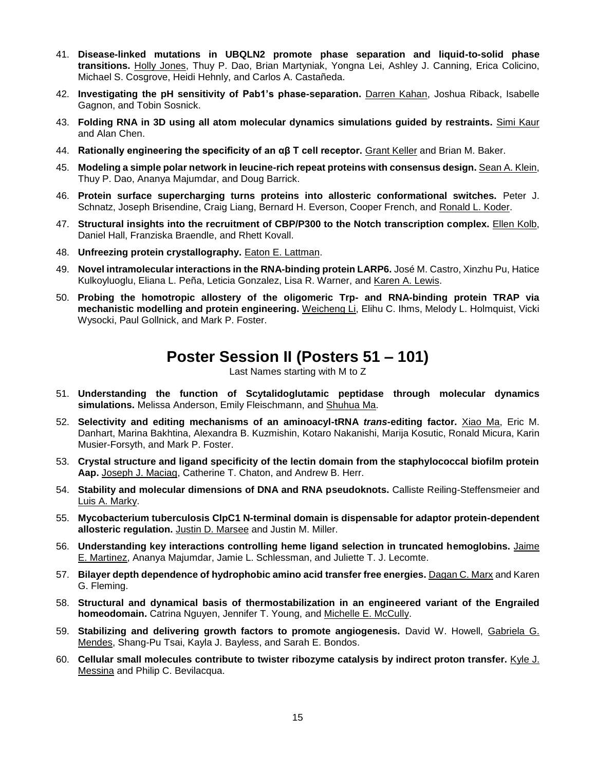- 41. **Disease-linked mutations in UBQLN2 promote phase separation and liquid-to-solid phase transitions.** Holly Jones, Thuy P. Dao, Brian Martyniak, Yongna Lei, Ashley J. Canning, Erica Colicino, Michael S. Cosgrove, Heidi Hehnly, and Carlos A. Castañeda.
- 42. **Investigating the pH sensitivity of Pab1's phase-separation.** Darren Kahan, Joshua Riback, Isabelle Gagnon, and Tobin Sosnick.
- 43. **Folding RNA in 3D using all atom molecular dynamics simulations guided by restraints.** Simi Kaur and Alan Chen.
- 44. **Rationally engineering the specificity of an αβ T cell receptor.** Grant Keller and Brian M. Baker.
- 45. **Modeling a simple polar network in leucine-rich repeat proteins with consensus design.** Sean A. Klein, Thuy P. Dao, Ananya Majumdar, and Doug Barrick.
- 46. **Protein surface supercharging turns proteins into allosteric conformational switches.** Peter J. Schnatz, Joseph Brisendine, Craig Liang, Bernard H. Everson, Cooper French, and Ronald L. Koder.
- 47. **Structural insights into the recruitment of CBP/P300 to the Notch transcription complex.** Ellen Kolb, Daniel Hall, Franziska Braendle, and Rhett Kovall.
- 48. **Unfreezing protein crystallography.** Eaton E. Lattman.
- 49. **Novel intramolecular interactions in the RNA-binding protein LARP6.** José M. Castro, Xinzhu Pu, Hatice Kulkoyluoglu, Eliana L. Peña, Leticia Gonzalez, Lisa R. Warner, and Karen A. Lewis.
- 50. **Probing the homotropic allostery of the oligomeric Trp- and RNA-binding protein TRAP via mechanistic modelling and protein engineering.** Weicheng Li, Elihu C. Ihms, Melody L. Holmquist, Vicki Wysocki, Paul Gollnick, and Mark P. Foster.

## **Poster Session II (Posters 51 – 101)**

Last Names starting with M to Z

- 51. **Understanding the function of Scytalidoglutamic peptidase through molecular dynamics simulations.** Melissa Anderson, Emily Fleischmann, and Shuhua Ma.
- 52. **Selectivity and editing mechanisms of an aminoacyl-tRNA** *trans***-editing factor.** Xiao Ma, Eric M. Danhart, Marina Bakhtina, Alexandra B. Kuzmishin, Kotaro Nakanishi, Marija Kosutic, Ronald Micura, Karin Musier-Forsyth, and Mark P. Foster.
- 53. **Crystal structure and ligand specificity of the lectin domain from the staphylococcal biofilm protein Aap.** Joseph J. Maciag, Catherine T. Chaton, and Andrew B. Herr.
- 54. **Stability and molecular dimensions of DNA and RNA pseudoknots.** Calliste Reiling-Steffensmeier and Luis A. Marky.
- 55. **Mycobacterium tuberculosis ClpC1 N-terminal domain is dispensable for adaptor protein-dependent allosteric regulation.** Justin D. Marsee and Justin M. Miller.
- 56. **Understanding key interactions controlling heme ligand selection in truncated hemoglobins.** Jaime E. Martinez, Ananya Majumdar, Jamie L. Schlessman, and Juliette T. J. Lecomte.
- 57. **Bilayer depth dependence of hydrophobic amino acid transfer free energies.** Dagan C. Marx and Karen G. Fleming.
- 58. **Structural and dynamical basis of thermostabilization in an engineered variant of the Engrailed homeodomain.** Catrina Nguyen, Jennifer T. Young, and Michelle E. McCully.
- 59. **Stabilizing and delivering growth factors to promote angiogenesis.** David W. Howell, Gabriela G. Mendes, Shang-Pu Tsai, Kayla J. Bayless, and Sarah E. Bondos.
- 60. **Cellular small molecules contribute to twister ribozyme catalysis by indirect proton transfer.** Kyle J. Messina and Philip C. Bevilacqua.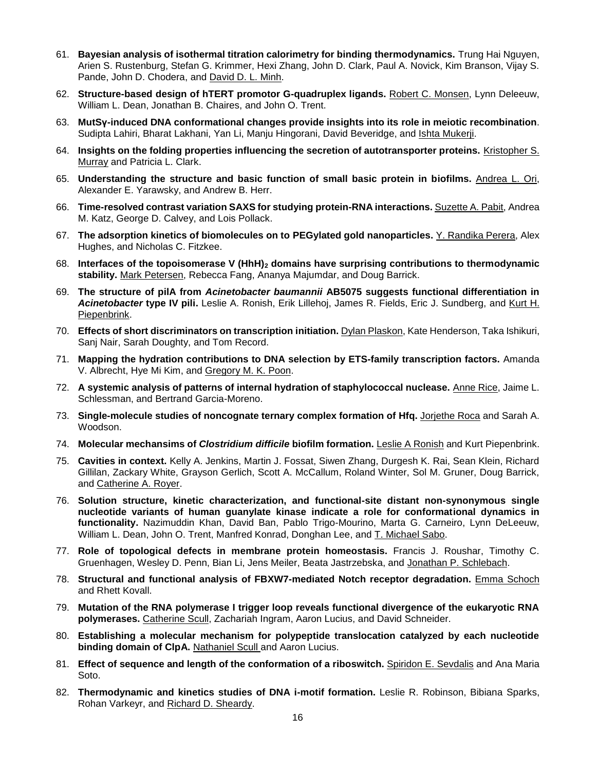- 61. **Bayesian analysis of isothermal titration calorimetry for binding thermodynamics.** Trung Hai Nguyen, Arien S. Rustenburg, Stefan G. Krimmer, Hexi Zhang, John D. Clark, Paul A. Novick, Kim Branson, Vijay S. Pande, John D. Chodera, and David D. L. Minh.
- 62. **Structure-based design of hTERT promotor G-quadruplex ligands.** Robert C. Monsen, Lynn Deleeuw, William L. Dean, Jonathan B. Chaires, and John O. Trent.
- 63. **MutSγ-induced DNA conformational changes provide insights into its role in meiotic recombination**. Sudipta Lahiri, Bharat Lakhani, Yan Li, Manju Hingorani, David Beveridge, and Ishta Mukerji.
- 64. **Insights on the folding properties influencing the secretion of autotransporter proteins.** Kristopher S. Murray and Patricia L. Clark.
- 65. **Understanding the structure and basic function of small basic protein in biofilms.** Andrea L. Ori, Alexander E. Yarawsky, and Andrew B. Herr.
- 66. **Time-resolved contrast variation SAXS for studying protein-RNA interactions.** Suzette A. Pabit, Andrea M. Katz, George D. Calvey, and Lois Pollack.
- 67. **The adsorption kinetics of biomolecules on to PEGylated gold nanoparticles.** Y. Randika Perera, Alex Hughes, and Nicholas C. Fitzkee.
- 68. **Interfaces of the topoisomerase V (HhH)<sup>2</sup> domains have surprising contributions to thermodynamic stability.** Mark Petersen, Rebecca Fang, Ananya Majumdar, and Doug Barrick.
- 69. **The structure of pilA from** *Acinetobacter baumannii* **AB5075 suggests functional differentiation in**  *Acinetobacter* **type IV pili.** Leslie A. Ronish, Erik Lillehoj, James R. Fields, Eric J. Sundberg, and Kurt H. Piepenbrink.
- 70. **Effects of short discriminators on transcription initiation.** Dylan Plaskon, Kate Henderson, Taka Ishikuri, Sanj Nair, Sarah Doughty, and Tom Record.
- 71. **Mapping the hydration contributions to DNA selection by ETS-family transcription factors.** Amanda V. Albrecht, Hye Mi Kim, and Gregory M. K. Poon.
- 72. **A systemic analysis of patterns of internal hydration of staphylococcal nuclease.** Anne Rice, Jaime L. Schlessman, and Bertrand Garcia-Moreno.
- 73. **Single-molecule studies of noncognate ternary complex formation of Hfq.** Jorjethe Roca and Sarah A. Woodson.
- 74. **Molecular mechansims of** *Clostridium difficile* **biofilm formation.** Leslie A Ronish and Kurt Piepenbrink.
- 75. **Cavities in context.** Kelly A. Jenkins, Martin J. Fossat, Siwen Zhang, Durgesh K. Rai, Sean Klein, Richard Gillilan, Zackary White, Grayson Gerlich, Scott A. McCallum, Roland Winter, Sol M. Gruner, Doug Barrick, and Catherine A. Royer.
- 76. **Solution structure, kinetic characterization, and functional-site distant non-synonymous single nucleotide variants of human guanylate kinase indicate a role for conformational dynamics in functionality.** Nazimuddin Khan, David Ban, Pablo Trigo-Mourino, Marta G. Carneiro, Lynn DeLeeuw, William L. Dean, John O. Trent, Manfred Konrad, Donghan Lee, and T. Michael Sabo.
- 77. **Role of topological defects in membrane protein homeostasis.** Francis J. Roushar, Timothy C. Gruenhagen, Wesley D. Penn, Bian Li, Jens Meiler, Beata Jastrzebska, and Jonathan P. Schlebach.
- 78. **Structural and functional analysis of FBXW7-mediated Notch receptor degradation.** Emma Schoch and Rhett Kovall.
- 79. **Mutation of the RNA polymerase I trigger loop reveals functional divergence of the eukaryotic RNA polymerases.** Catherine Scull, Zachariah Ingram, Aaron Lucius, and David Schneider.
- 80. **Establishing a molecular mechanism for polypeptide translocation catalyzed by each nucleotide binding domain of ClpA.** Nathaniel Scull and Aaron Lucius.
- 81. **Effect of sequence and length of the conformation of a riboswitch.** Spiridon E. Sevdalis and Ana Maria Soto.
- 82. **Thermodynamic and kinetics studies of DNA i-motif formation.** Leslie R. Robinson, Bibiana Sparks, Rohan Varkeyr, and Richard D. Sheardy.